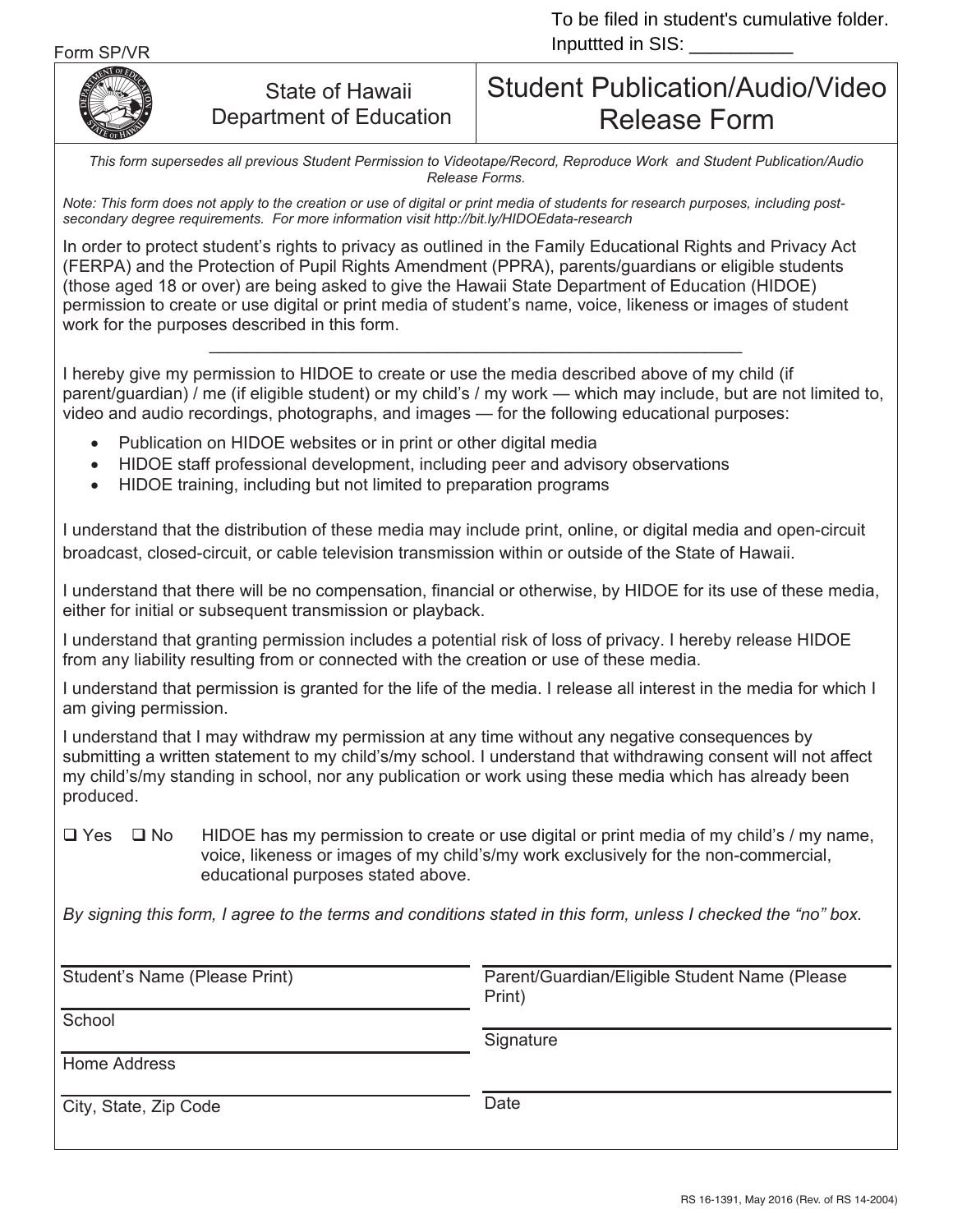

## State of Hawaii Department of Education

## Student Publication/Audio/Video Release Form

*This form supersedes all previous Student Permission to Videotape/Record, Reproduce Work and Student Publication/Audio Release Forms.*

*Note: This form does not apply to the creation or use of digital or print media of students for research purposes, including postsecondary degree requirements. For more information visit http://bit.ly/HIDOEdata-research* 

In order to protect student's rights to privacy as outlined in the Family Educational Rights and Privacy Act (FERPA) and the Protection of Pupil Rights Amendment (PPRA), parents/guardians or eligible students (those aged 18 or over) are being asked to give the Hawaii State Department of Education (HIDOE) permission to create or use digital or print media of student's name, voice, likeness or images of student work for the purposes described in this form. \_\_\_\_\_\_\_\_\_\_\_\_\_\_\_\_\_\_\_\_\_\_\_\_\_\_\_\_\_\_\_\_\_\_\_\_\_\_\_\_\_\_\_\_\_\_\_\_\_\_\_\_\_\_\_\_

I hereby give my permission to HIDOE to create or use the media described above of my child (if parent/guardian) / me (if eligible student) or my child's / my work — which may include, but are not limited to, video and audio recordings, photographs, and images — for the following educational purposes:

- Publication on HIDOE websites or in print or other digital media
- HIDOE staff professional development, including peer and advisory observations
- HIDOE training, including but not limited to preparation programs

I understand that the distribution of these media may include print, online, or digital media and open-circuit broadcast, closed-circuit, or cable television transmission within or outside of the State of Hawaii.

I understand that there will be no compensation, financial or otherwise, by HIDOE for its use of these media, either for initial or subsequent transmission or playback.

I understand that granting permission includes a potential risk of loss of privacy. I hereby release HIDOE from any liability resulting from or connected with the creation or use of these media.

I understand that permission is granted for the life of the media. I release all interest in the media for which I am giving permission.

I understand that I may withdraw my permission at any time without any negative consequences by submitting a written statement to my child's/my school. I understand that withdrawing consent will not affect my child's/my standing in school, nor any publication or work using these media which has already been produced.

 $\Box$  Yes  $\Box$  No HIDOE has my permission to create or use digital or print media of my child's / my name, voice, likeness or images of my child's/my work exclusively for the non-commercial, educational purposes stated above.

*By signing this form, I agree to the terms and conditions stated in this form, unless I checked the "no" box.*

| Student's Name (Please Print) | Parent/Guardian/Eligible Student Name (Please)<br>Print) |
|-------------------------------|----------------------------------------------------------|
| School<br>Home Address        | Signature                                                |
| City, State, Zip Code         | Date                                                     |